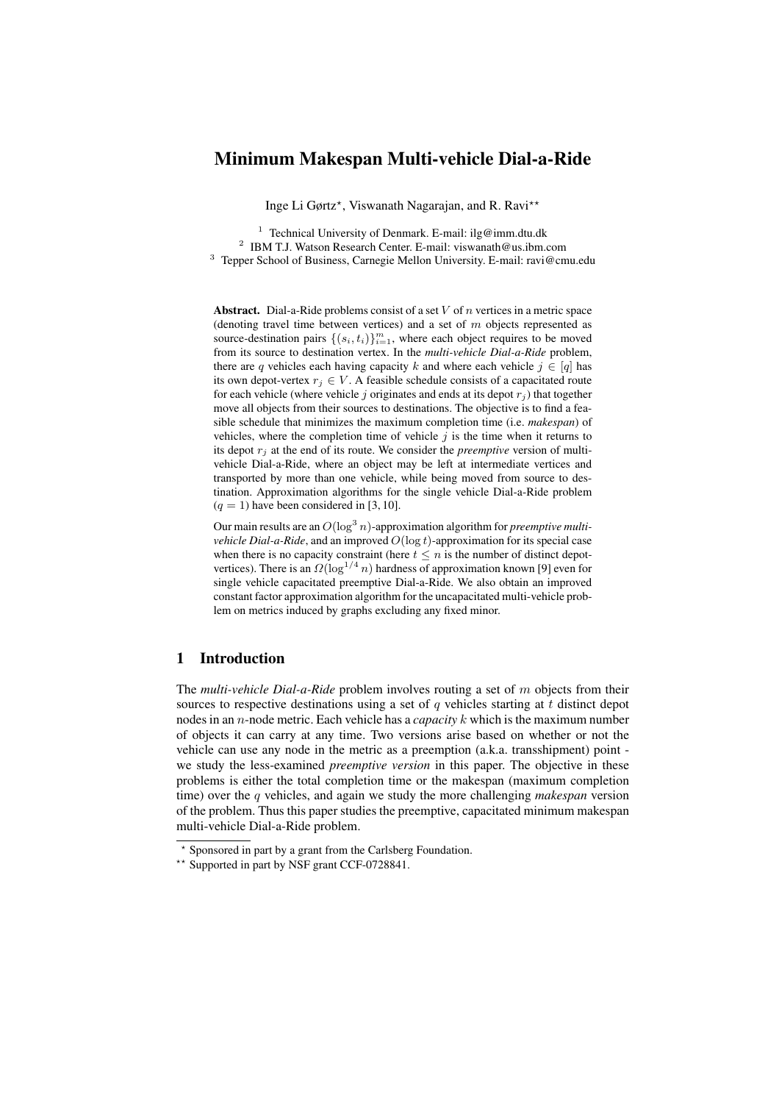# Minimum Makespan Multi-vehicle Dial-a-Ride

Inge Li Gørtz\*, Viswanath Nagarajan, and R. Ravi\*\*

<sup>1</sup> Technical University of Denmark. E-mail: ilg@imm.dtu.dk

<sup>2</sup> IBM T.J. Watson Research Center. E-mail: viswanath@us.ibm.com

<sup>3</sup> Tepper School of Business, Carnegie Mellon University. E-mail: ravi@cmu.edu

**Abstract.** Dial-a-Ride problems consist of a set  $V$  of  $n$  vertices in a metric space (denoting travel time between vertices) and a set of  $m$  objects represented as source-destination pairs  $\{(s_i, t_i)\}_{i=1}^m$ , where each object requires to be moved from its source to destination vertex. In the *multi-vehicle Dial-a-Ride* problem, there are q vehicles each having capacity k and where each vehicle  $j \in [q]$  has its own depot-vertex  $r_i \in V$ . A feasible schedule consists of a capacitated route for each vehicle (where vehicle j originates and ends at its depot  $r_j$ ) that together move all objects from their sources to destinations. The objective is to find a feasible schedule that minimizes the maximum completion time (i.e. *makespan*) of vehicles, where the completion time of vehicle  $j$  is the time when it returns to its depot  $r_i$  at the end of its route. We consider the *preemptive* version of multivehicle Dial-a-Ride, where an object may be left at intermediate vertices and transported by more than one vehicle, while being moved from source to destination. Approximation algorithms for the single vehicle Dial-a-Ride problem  $(q = 1)$  have been considered in [3, 10].

Our main results are an  $O(\log^3 n)$ -approximation algorithm for *preemptive multivehicle Dial-a-Ride*, and an improved  $O(\log t)$ -approximation for its special case when there is no capacity constraint (here  $t \leq n$  is the number of distinct depotvertices). There is an  $\Omega(\log^{1/4} n)$  hardness of approximation known [9] even for single vehicle capacitated preemptive Dial-a-Ride. We also obtain an improved constant factor approximation algorithm for the uncapacitated multi-vehicle problem on metrics induced by graphs excluding any fixed minor.

## 1 Introduction

The *multi-vehicle Dial-a-Ride* problem involves routing a set of m objects from their sources to respective destinations using a set of  $q$  vehicles starting at  $t$  distinct depot nodes in an n-node metric. Each vehicle has a *capacity* k which is the maximum number of objects it can carry at any time. Two versions arise based on whether or not the vehicle can use any node in the metric as a preemption (a.k.a. transshipment) point we study the less-examined *preemptive version* in this paper. The objective in these problems is either the total completion time or the makespan (maximum completion time) over the q vehicles, and again we study the more challenging *makespan* version of the problem. Thus this paper studies the preemptive, capacitated minimum makespan multi-vehicle Dial-a-Ride problem.

<sup>?</sup> Sponsored in part by a grant from the Carlsberg Foundation.

<sup>\*\*</sup> Supported in part by NSF grant CCF-0728841.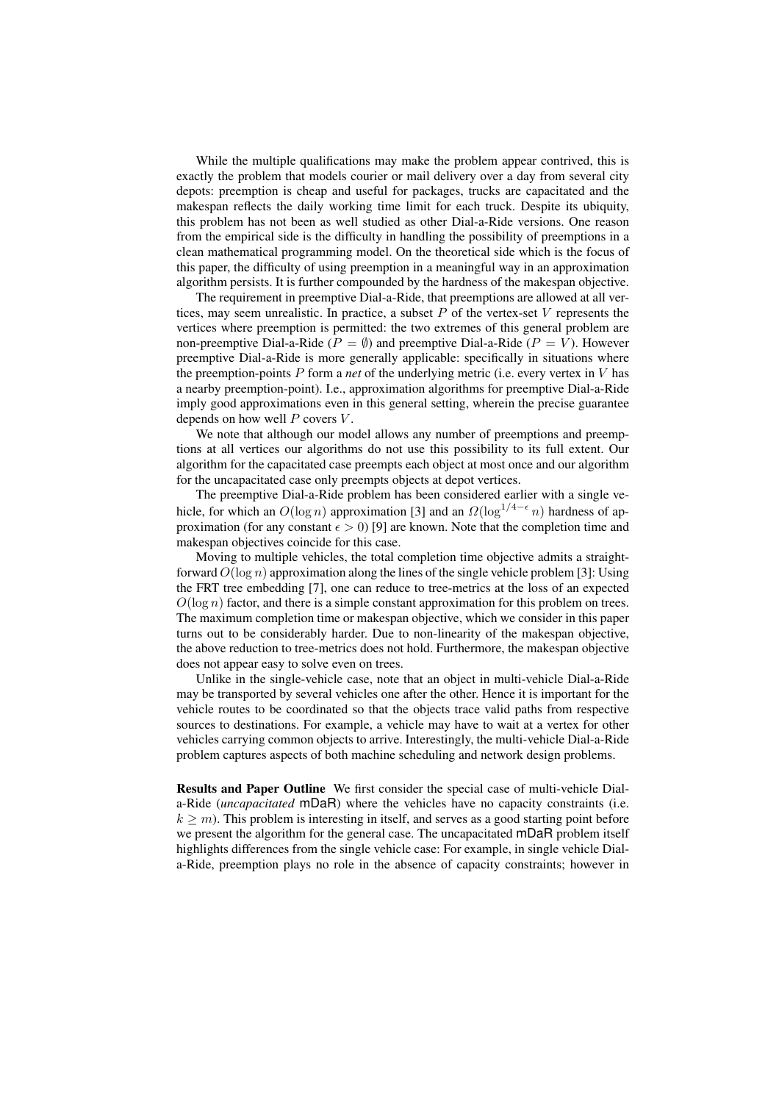While the multiple qualifications may make the problem appear contrived, this is exactly the problem that models courier or mail delivery over a day from several city depots: preemption is cheap and useful for packages, trucks are capacitated and the makespan reflects the daily working time limit for each truck. Despite its ubiquity, this problem has not been as well studied as other Dial-a-Ride versions. One reason from the empirical side is the difficulty in handling the possibility of preemptions in a clean mathematical programming model. On the theoretical side which is the focus of this paper, the difficulty of using preemption in a meaningful way in an approximation algorithm persists. It is further compounded by the hardness of the makespan objective.

The requirement in preemptive Dial-a-Ride, that preemptions are allowed at all vertices, may seem unrealistic. In practice, a subset  $P$  of the vertex-set  $V$  represents the vertices where preemption is permitted: the two extremes of this general problem are non-preemptive Dial-a-Ride ( $P = \emptyset$ ) and preemptive Dial-a-Ride ( $P = V$ ). However preemptive Dial-a-Ride is more generally applicable: specifically in situations where the preemption-points  $P$  form a *net* of the underlying metric (i.e. every vertex in  $V$  has a nearby preemption-point). I.e., approximation algorithms for preemptive Dial-a-Ride imply good approximations even in this general setting, wherein the precise guarantee depends on how well  $P$  covers  $V$ .

We note that although our model allows any number of preemptions and preemptions at all vertices our algorithms do not use this possibility to its full extent. Our algorithm for the capacitated case preempts each object at most once and our algorithm for the uncapacitated case only preempts objects at depot vertices.

The preemptive Dial-a-Ride problem has been considered earlier with a single vehicle, for which an  $O(\log n)$  approximation [3] and an  $\Omega(\log^{1/4-\epsilon} n)$  hardness of approximation (for any constant  $\epsilon > 0$ ) [9] are known. Note that the completion time and makespan objectives coincide for this case.

Moving to multiple vehicles, the total completion time objective admits a straightforward  $O(\log n)$  approximation along the lines of the single vehicle problem [3]: Using the FRT tree embedding [7], one can reduce to tree-metrics at the loss of an expected  $O(\log n)$  factor, and there is a simple constant approximation for this problem on trees. The maximum completion time or makespan objective, which we consider in this paper turns out to be considerably harder. Due to non-linearity of the makespan objective, the above reduction to tree-metrics does not hold. Furthermore, the makespan objective does not appear easy to solve even on trees.

Unlike in the single-vehicle case, note that an object in multi-vehicle Dial-a-Ride may be transported by several vehicles one after the other. Hence it is important for the vehicle routes to be coordinated so that the objects trace valid paths from respective sources to destinations. For example, a vehicle may have to wait at a vertex for other vehicles carrying common objects to arrive. Interestingly, the multi-vehicle Dial-a-Ride problem captures aspects of both machine scheduling and network design problems.

Results and Paper Outline We first consider the special case of multi-vehicle Diala-Ride (*uncapacitated* mDaR) where the vehicles have no capacity constraints (i.e.  $k \geq m$ ). This problem is interesting in itself, and serves as a good starting point before we present the algorithm for the general case. The uncapacitated mDaR problem itself highlights differences from the single vehicle case: For example, in single vehicle Diala-Ride, preemption plays no role in the absence of capacity constraints; however in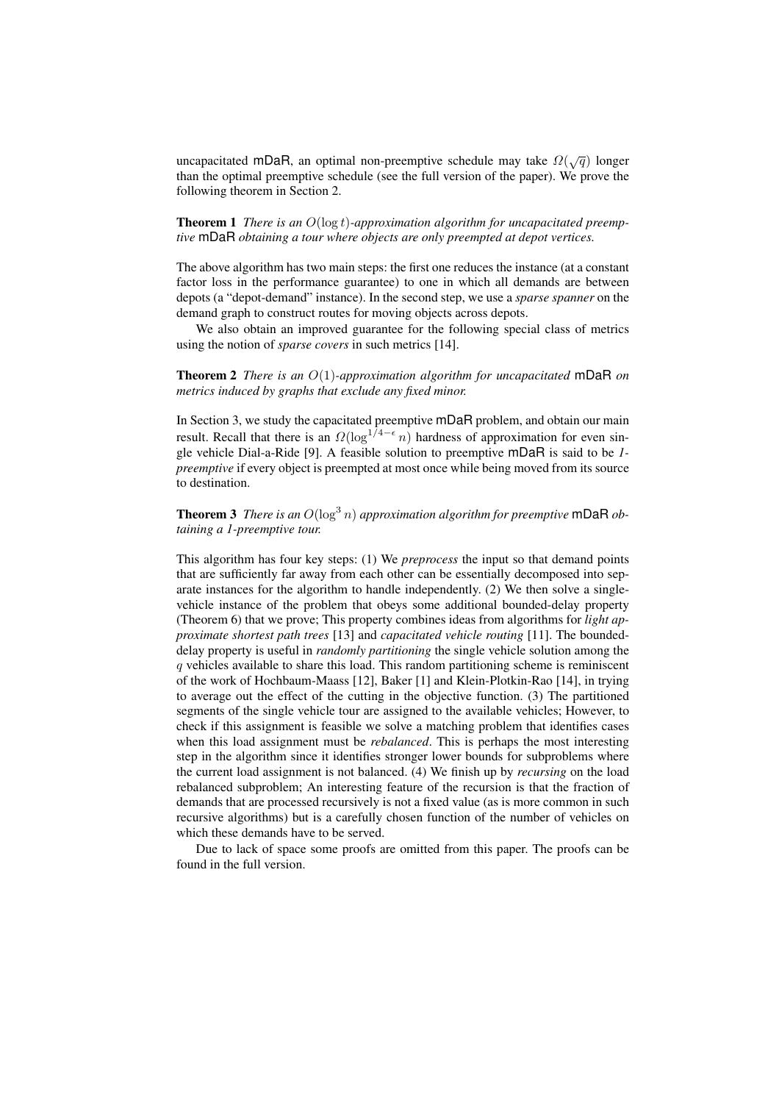uncapacitated mDaR, an optimal non-preemptive schedule may take  $\Omega(\sqrt{q})$  longer than the optimal preemptive schedule (see the full version of the paper). We prove the following theorem in Section 2.

**Theorem 1** *There is an*  $O(\log t)$ *-approximation algorithm for uncapacitated preemptive* mDaR *obtaining a tour where objects are only preempted at depot vertices.*

The above algorithm has two main steps: the first one reduces the instance (at a constant factor loss in the performance guarantee) to one in which all demands are between depots (a "depot-demand" instance). In the second step, we use a *sparse spanner* on the demand graph to construct routes for moving objects across depots.

We also obtain an improved guarantee for the following special class of metrics using the notion of *sparse covers* in such metrics [14].

## Theorem 2 *There is an* O(1)*-approximation algorithm for uncapacitated* mDaR *on metrics induced by graphs that exclude any fixed minor.*

In Section 3, we study the capacitated preemptive mDaR problem, and obtain our main result. Recall that there is an  $\Omega(\log^{1/4-\epsilon} n)$  hardness of approximation for even single vehicle Dial-a-Ride [9]. A feasible solution to preemptive mDaR is said to be *1 preemptive* if every object is preempted at most once while being moved from its source to destination.

## **Theorem 3** *There is an*  $O(\log^3 n)$  *approximation algorithm for preemptive* mDaR *obtaining a 1-preemptive tour.*

This algorithm has four key steps: (1) We *preprocess* the input so that demand points that are sufficiently far away from each other can be essentially decomposed into separate instances for the algorithm to handle independently. (2) We then solve a singlevehicle instance of the problem that obeys some additional bounded-delay property (Theorem 6) that we prove; This property combines ideas from algorithms for *light approximate shortest path trees* [13] and *capacitated vehicle routing* [11]. The boundeddelay property is useful in *randomly partitioning* the single vehicle solution among the  $q$  vehicles available to share this load. This random partitioning scheme is reminiscent of the work of Hochbaum-Maass [12], Baker [1] and Klein-Plotkin-Rao [14], in trying to average out the effect of the cutting in the objective function. (3) The partitioned segments of the single vehicle tour are assigned to the available vehicles; However, to check if this assignment is feasible we solve a matching problem that identifies cases when this load assignment must be *rebalanced*. This is perhaps the most interesting step in the algorithm since it identifies stronger lower bounds for subproblems where the current load assignment is not balanced. (4) We finish up by *recursing* on the load rebalanced subproblem; An interesting feature of the recursion is that the fraction of demands that are processed recursively is not a fixed value (as is more common in such recursive algorithms) but is a carefully chosen function of the number of vehicles on which these demands have to be served.

Due to lack of space some proofs are omitted from this paper. The proofs can be found in the full version.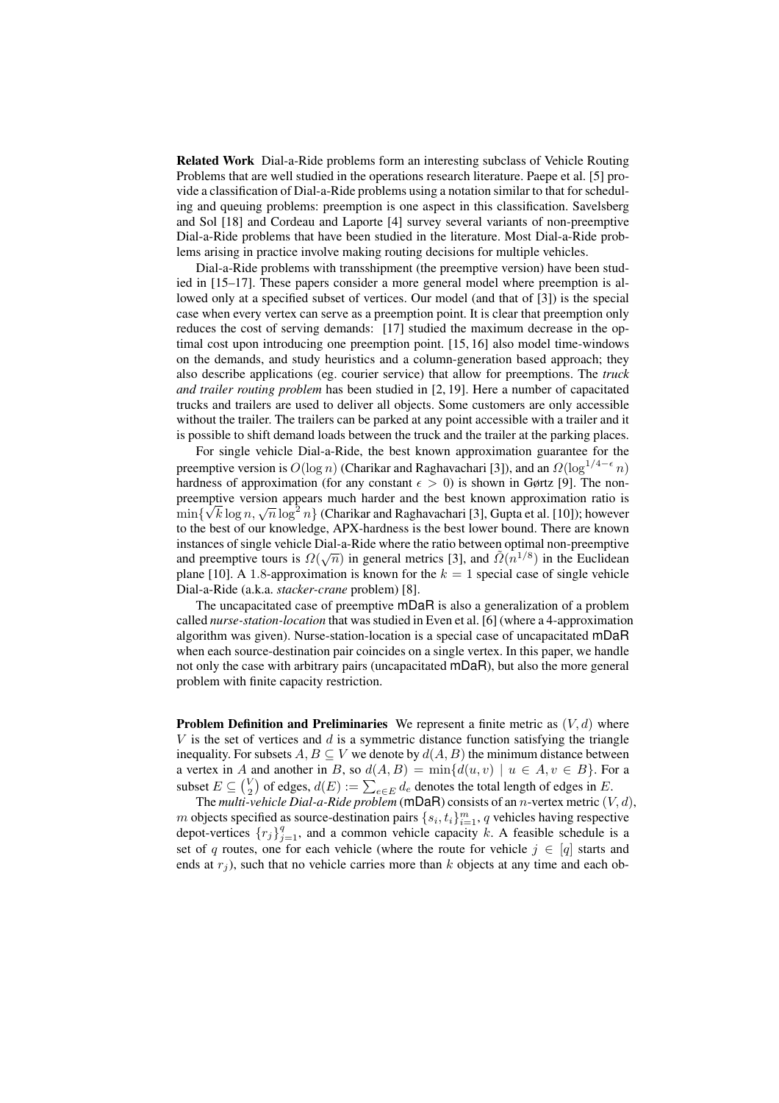Related Work Dial-a-Ride problems form an interesting subclass of Vehicle Routing Problems that are well studied in the operations research literature. Paepe et al. [5] provide a classification of Dial-a-Ride problems using a notation similar to that for scheduling and queuing problems: preemption is one aspect in this classification. Savelsberg and Sol [18] and Cordeau and Laporte [4] survey several variants of non-preemptive Dial-a-Ride problems that have been studied in the literature. Most Dial-a-Ride problems arising in practice involve making routing decisions for multiple vehicles.

Dial-a-Ride problems with transshipment (the preemptive version) have been studied in [15–17]. These papers consider a more general model where preemption is allowed only at a specified subset of vertices. Our model (and that of [3]) is the special case when every vertex can serve as a preemption point. It is clear that preemption only reduces the cost of serving demands: [17] studied the maximum decrease in the optimal cost upon introducing one preemption point. [15, 16] also model time-windows on the demands, and study heuristics and a column-generation based approach; they also describe applications (eg. courier service) that allow for preemptions. The *truck and trailer routing problem* has been studied in [2, 19]. Here a number of capacitated trucks and trailers are used to deliver all objects. Some customers are only accessible without the trailer. The trailers can be parked at any point accessible with a trailer and it is possible to shift demand loads between the truck and the trailer at the parking places.

For single vehicle Dial-a-Ride, the best known approximation guarantee for the preemptive version is  $O(\log n)$  (Charikar and Raghavachari [3]), and an  $\Omega(\log^{1/4-\epsilon} n)$ hardness of approximation (for any constant  $\epsilon > 0$ ) is shown in Gørtz [9]. The nonpreemptive version appears much harder and the best known approximation ratio is preemptive version appears much narder and the best known approximation ratio is  $\min\{\sqrt{k} \log n, \sqrt{n} \log^2 n\}$  (Charikar and Raghavachari [3], Gupta et al. [10]); however to the best of our knowledge, APX-hardness is the best lower bound. There are known instances of single vehicle Dial-a-Ride where the ratio between optimal non-preemptive and preemptive tours is  $\Omega(\sqrt{n})$  in general metrics [3], and  $\tilde{\Omega}(n^{1/8})$  in the Euclidean plane [10]. A 1.8-approximation is known for the  $k = 1$  special case of single vehicle Dial-a-Ride (a.k.a. *stacker-crane* problem) [8].

The uncapacitated case of preemptive mDaR is also a generalization of a problem called *nurse-station-location* that was studied in Even et al. [6] (where a 4-approximation algorithm was given). Nurse-station-location is a special case of uncapacitated mDaR when each source-destination pair coincides on a single vertex. In this paper, we handle not only the case with arbitrary pairs (uncapacitated mDaR), but also the more general problem with finite capacity restriction.

**Problem Definition and Preliminaries** We represent a finite metric as  $(V, d)$  where V is the set of vertices and  $d$  is a symmetric distance function satisfying the triangle inequality. For subsets  $A, B \subseteq V$  we denote by  $d(A, B)$  the minimum distance between a vertex in A and another in B, so  $d(A, B) = \min\{d(u, v) \mid u \in A, v \in B\}$ . For a subset  $E \subseteq {V \choose 2}$  of edges,  $d(E) := \sum_{e \in E} d_e$  denotes the total length of edges in E.

The *multi-vehicle Dial-a-Ride problem* ( $mDaR$ ) consists of an *n*-vertex metric  $(V, d)$ , m objects specified as source-destination pairs  $\{s_i, t_i\}_{i=1}^m$ , q vehicles having respective depot-vertices  $\{r_j\}_{j=1}^q$ , and a common vehicle capacity k. A feasible schedule is a set of q routes, one for each vehicle (where the route for vehicle  $j \in [q]$  starts and ends at  $r_i$ ), such that no vehicle carries more than k objects at any time and each ob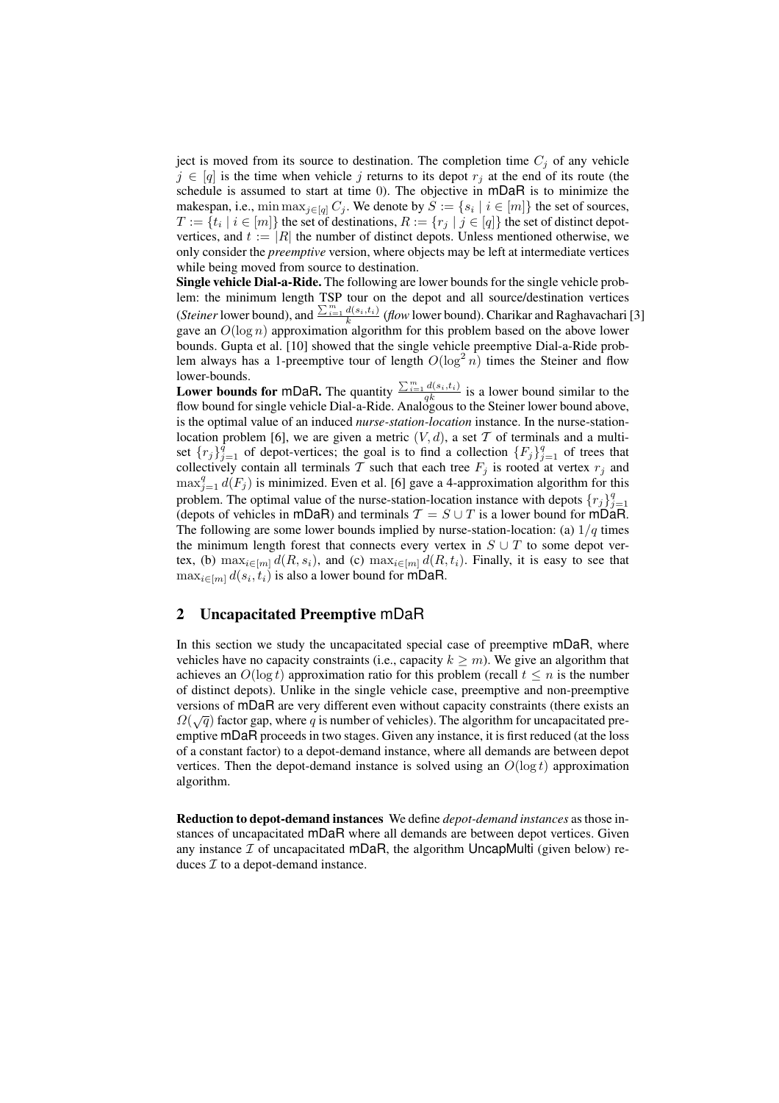ject is moved from its source to destination. The completion time  $C_j$  of any vehicle  $j \in [q]$  is the time when vehicle j returns to its depot  $r_j$  at the end of its route (the schedule is assumed to start at time 0). The objective in mDaR is to minimize the makespan, i.e.,  $\min \max_{j \in [q]} C_j$ . We denote by  $S := \{ s_i \mid i \in [m] \}$  the set of sources,  $T := \{t_i \mid i \in [m]\}$  the set of destinations,  $R := \{r_j \mid j \in [q]\}$  the set of distinct depotvertices, and  $t := |R|$  the number of distinct depots. Unless mentioned otherwise, we only consider the *preemptive* version, where objects may be left at intermediate vertices while being moved from source to destination.

Single vehicle Dial-a-Ride. The following are lower bounds for the single vehicle problem: the minimum length TSP tour on the depot and all source/destination vertices (*Steiner*lower bound), and  $\sum_{i=1}^{m} \frac{d(s_i, t_i)}{k}$  (*flow* lower bound). Charikar and Raghavachari [3] gave an  $O(\log n)$  approximation algorithm for this problem based on the above lower bounds. Gupta et al. [10] showed that the single vehicle preemptive Dial-a-Ride problem always has a 1-preemptive tour of length  $O(\log^2 n)$  times the Steiner and flow lower-bounds.

Lower bounds for mDaR. The quantity  $\frac{\sum_{i=1}^{m} d(s_i, t_i)}{qk}$  is a lower bound similar to the flow bound for single vehicle Dial-a-Ride. Analogous to the Steiner lower bound above, is the optimal value of an induced *nurse-station-location* instance. In the nurse-stationlocation problem [6], we are given a metric  $(V, d)$ , a set T of terminals and a multiset  $\{r_j\}_{j=1}^q$  of depot-vertices; the goal is to find a collection  $\{F_j\}_{j=1}^q$  of trees that collectively contain all terminals T such that each tree  $F_j$  is rooted at vertex  $r_j$  and  $\max_{j=1}^{q} d(F_j)$  is minimized. Even et al. [6] gave a 4-approximation algorithm for this problem. The optimal value of the nurse-station-location instance with depots  $\{r_j\}_{j=1}^q$ (depots of vehicles in mDaR) and terminals  $\mathcal{T} = S \cup T$  is a lower bound for mDaR. The following are some lower bounds implied by nurse-station-location: (a)  $1/q$  times the minimum length forest that connects every vertex in  $S \cup T$  to some depot vertex, (b)  $\max_{i \in [m]} d(R, s_i)$ , and (c)  $\max_{i \in [m]} d(R, t_i)$ . Finally, it is easy to see that  $\max_{i \in [m]} d(s_i, t_i)$  is also a lower bound for **mDaR**.

# 2 Uncapacitated Preemptive mDaR

In this section we study the uncapacitated special case of preemptive mDaR, where vehicles have no capacity constraints (i.e., capacity  $k \ge m$ ). We give an algorithm that achieves an  $O(\log t)$  approximation ratio for this problem (recall  $t \leq n$  is the number of distinct depots). Unlike in the single vehicle case, preemptive and non-preemptive versions of mDaR are very different even without capacity constraints (there exists an  $\Omega(\sqrt{q})$  factor gap, where q is number of vehicles). The algorithm for uncapacitated preemptive mDaR proceeds in two stages. Given any instance, it is first reduced (at the loss of a constant factor) to a depot-demand instance, where all demands are between depot vertices. Then the depot-demand instance is solved using an  $O(\log t)$  approximation algorithm.

Reduction to depot-demand instances We define *depot-demand instances* as those instances of uncapacitated mDaR where all demands are between depot vertices. Given any instance  $\mathcal I$  of uncapacitated mDaR, the algorithm UncapMulti (given below) reduces  $\mathcal I$  to a depot-demand instance.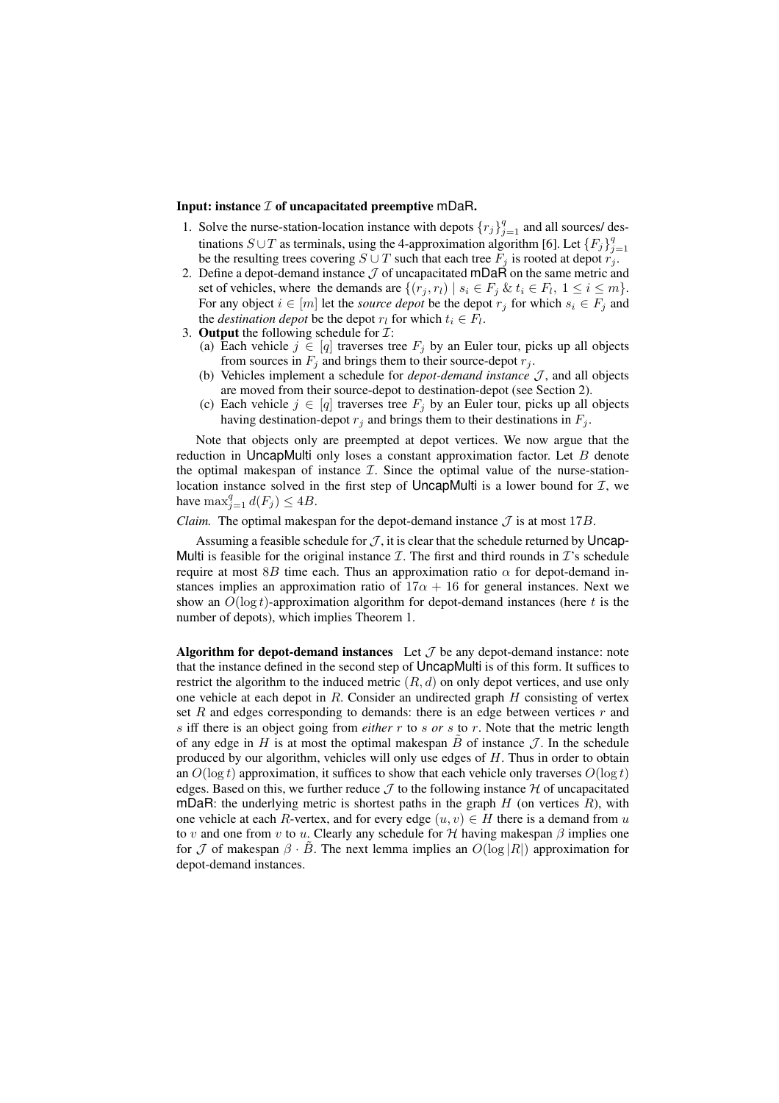#### Input: instance  $I$  of uncapacitated preemptive mDaR.

- 1. Solve the nurse-station-location instance with depots  $\{r_j\}_{j=1}^q$  and all sources/ destinations  $S \cup T$  as terminals, using the 4-approximation algorithm [6]. Let  $\{F_j\}_{j=1}^q$ be the resulting trees covering  $S \cup T$  such that each tree  $F_j$  is rooted at depot  $r_j$ .
- 2. Define a depot-demand instance  $J$  of uncapacitated mDaR on the same metric and set of vehicles, where the demands are  $\{(r_j, r_l) \mid s_i \in F_j \& t_i \in F_l, 1 \le i \le m\}.$ For any object  $i \in [m]$  let the *source depot* be the depot  $r_j$  for which  $s_i \in F_j$  and the *destination depot* be the depot  $r_l$  for which  $t_i \in F_l$ .
- 3. Output the following schedule for  $\mathcal{I}$ :
	- (a) Each vehicle  $j \in [q]$  traverses tree  $F_j$  by an Euler tour, picks up all objects from sources in  $F_j$  and brings them to their source-depot  $r_j$ .
	- (b) Vehicles implement a schedule for *depot-demand instance*  $J$ , and all objects are moved from their source-depot to destination-depot (see Section 2).
	- (c) Each vehicle  $j \in [q]$  traverses tree  $F_j$  by an Euler tour, picks up all objects having destination-depot  $r_j$  and brings them to their destinations in  $F_j$ .

Note that objects only are preempted at depot vertices. We now argue that the reduction in UncapMulti only loses a constant approximation factor. Let  $B$  denote the optimal makespan of instance  $\mathcal I$ . Since the optimal value of the nurse-stationlocation instance solved in the first step of UncapMulti is a lower bound for  $\mathcal{I}$ , we have  $\max_{j=1}^q d(F_j) \leq 4B$ .

#### *Claim.* The optimal makespan for the depot-demand instance  $J$  is at most 17B.

Assuming a feasible schedule for  $\mathcal I$ , it is clear that the schedule returned by Uncap-Multi is feasible for the original instance  $I$ . The first and third rounds in  $I$ 's schedule require at most 8B time each. Thus an approximation ratio  $\alpha$  for depot-demand instances implies an approximation ratio of  $17\alpha + 16$  for general instances. Next we show an  $O(\log t)$ -approximation algorithm for depot-demand instances (here t is the number of depots), which implies Theorem 1.

Algorithm for depot-demand instances Let  $\mathcal J$  be any depot-demand instance: note that the instance defined in the second step of UncapMulti is of this form. It suffices to restrict the algorithm to the induced metric  $(R, d)$  on only depot vertices, and use only one vehicle at each depot in  $R$ . Consider an undirected graph  $H$  consisting of vertex set R and edges corresponding to demands: there is an edge between vertices  $r$  and s iff there is an object going from *either* r to s *or* s to r. Note that the metric length of any edge in H is at most the optimal makespan  $\hat{B}$  of instance  $\hat{J}$ . In the schedule produced by our algorithm, vehicles will only use edges of H. Thus in order to obtain an  $O(\log t)$  approximation, it suffices to show that each vehicle only traverses  $O(\log t)$ edges. Based on this, we further reduce  $J$  to the following instance  $H$  of uncapacitated mDaR: the underlying metric is shortest paths in the graph  $H$  (on vertices  $R$ ), with one vehicle at each R-vertex, and for every edge  $(u, v) \in H$  there is a demand from u to v and one from v to u. Clearly any schedule for H having makespan  $\beta$  implies one for J of makespan  $\beta \cdot \overline{B}$ . The next lemma implies an  $O(\log |R|)$  approximation for depot-demand instances.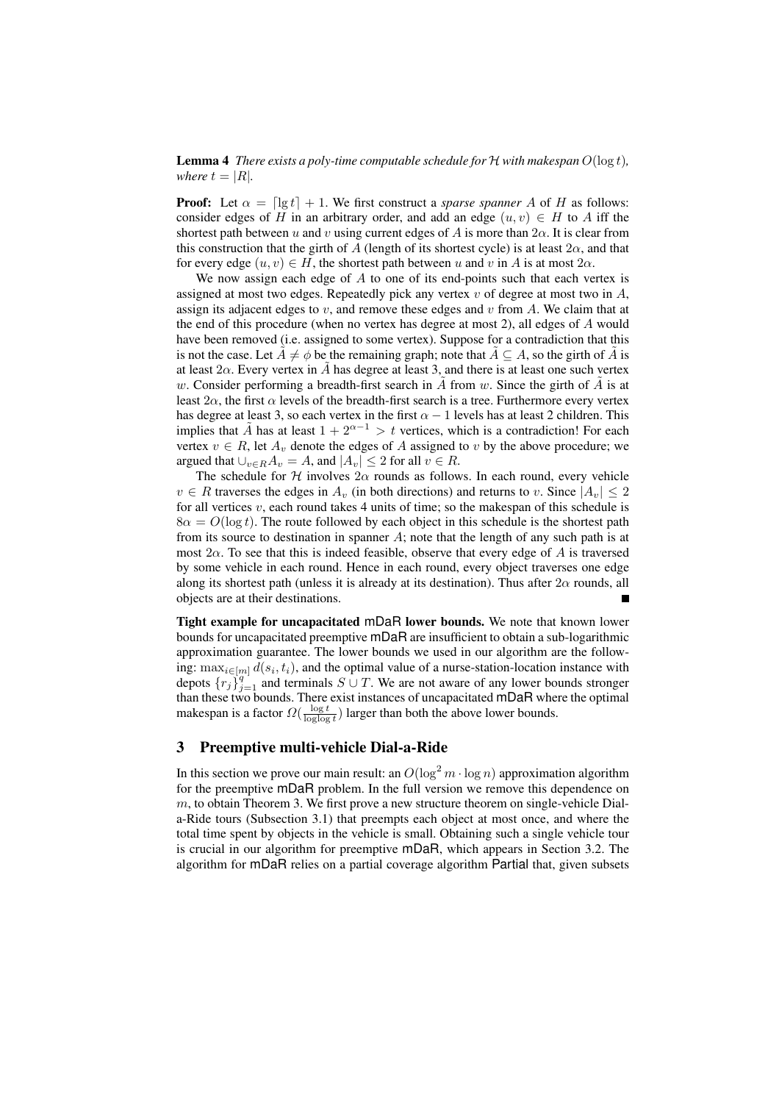Lemma 4 *There exists a poly-time computable schedule for* H *with makespan* O(log t)*, where*  $t = |R|$ *.* 

**Proof:** Let  $\alpha = \left[\lg t\right] + 1$ . We first construct a *sparse spanner* A of H as follows: consider edges of H in an arbitrary order, and add an edge  $(u, v) \in H$  to A iff the shortest path between u and v using current edges of A is more than  $2\alpha$ . It is clear from this construction that the girth of A (length of its shortest cycle) is at least  $2\alpha$ , and that for every edge  $(u, v) \in H$ , the shortest path between u and v in A is at most  $2\alpha$ .

We now assign each edge of  $A$  to one of its end-points such that each vertex is assigned at most two edges. Repeatedly pick any vertex  $v$  of degree at most two in  $A$ , assign its adjacent edges to v, and remove these edges and v from A. We claim that at the end of this procedure (when no vertex has degree at most 2), all edges of A would have been removed (i.e. assigned to some vertex). Suppose for a contradiction that this is not the case. Let  $\tilde{A} \neq \phi$  be the remaining graph; note that  $\tilde{A} \subseteq A$ , so the girth of  $\tilde{A}$  is at least  $2\alpha$ . Every vertex in A has degree at least 3, and there is at least one such vertex w. Consider performing a breadth-first search in A from w. Since the girth of A is at least  $2\alpha$ , the first  $\alpha$  levels of the breadth-first search is a tree. Furthermore every vertex has degree at least 3, so each vertex in the first  $\alpha - 1$  levels has at least 2 children. This implies that  $\tilde{A}$  has at least  $1 + 2^{\alpha - 1} > t$  vertices, which is a contradiction! For each vertex  $v \in R$ , let  $A_v$  denote the edges of A assigned to v by the above procedure; we argued that  $\bigcup_{v \in R} A_v = A$ , and  $\big| A_v \big| \leq 2$  for all  $v \in R$ .

The schedule for H involves  $2\alpha$  rounds as follows. In each round, every vehicle  $v \in R$  traverses the edges in  $A_v$  (in both directions) and returns to v. Since  $|A_v| \leq 2$ for all vertices  $v$ , each round takes 4 units of time; so the makespan of this schedule is  $8\alpha = O(\log t)$ . The route followed by each object in this schedule is the shortest path from its source to destination in spanner A; note that the length of any such path is at most  $2\alpha$ . To see that this is indeed feasible, observe that every edge of A is traversed by some vehicle in each round. Hence in each round, every object traverses one edge along its shortest path (unless it is already at its destination). Thus after  $2\alpha$  rounds, all objects are at their destinations.

Tight example for uncapacitated mDaR lower bounds. We note that known lower bounds for uncapacitated preemptive mDaR are insufficient to obtain a sub-logarithmic approximation guarantee. The lower bounds we used in our algorithm are the following:  $\max_{i \in [m]} d(s_i, t_i)$ , and the optimal value of a nurse-station-location instance with depots  $\{r_j\}_{j=1}^q$  and terminals  $S \cup T$ . We are not aware of any lower bounds stronger than these two bounds. There exist instances of uncapacitated mDaR where the optimal makespan is a factor  $\Omega(\frac{\log t}{\log \log t})$  larger than both the above lower bounds.

## 3 Preemptive multi-vehicle Dial-a-Ride

In this section we prove our main result: an  $O(\log^2 m \cdot \log n)$  approximation algorithm for the preemptive mDaR problem. In the full version we remove this dependence on  $m$ , to obtain Theorem 3. We first prove a new structure theorem on single-vehicle Diala-Ride tours (Subsection 3.1) that preempts each object at most once, and where the total time spent by objects in the vehicle is small. Obtaining such a single vehicle tour is crucial in our algorithm for preemptive mDaR, which appears in Section 3.2. The algorithm for mDaR relies on a partial coverage algorithm Partial that, given subsets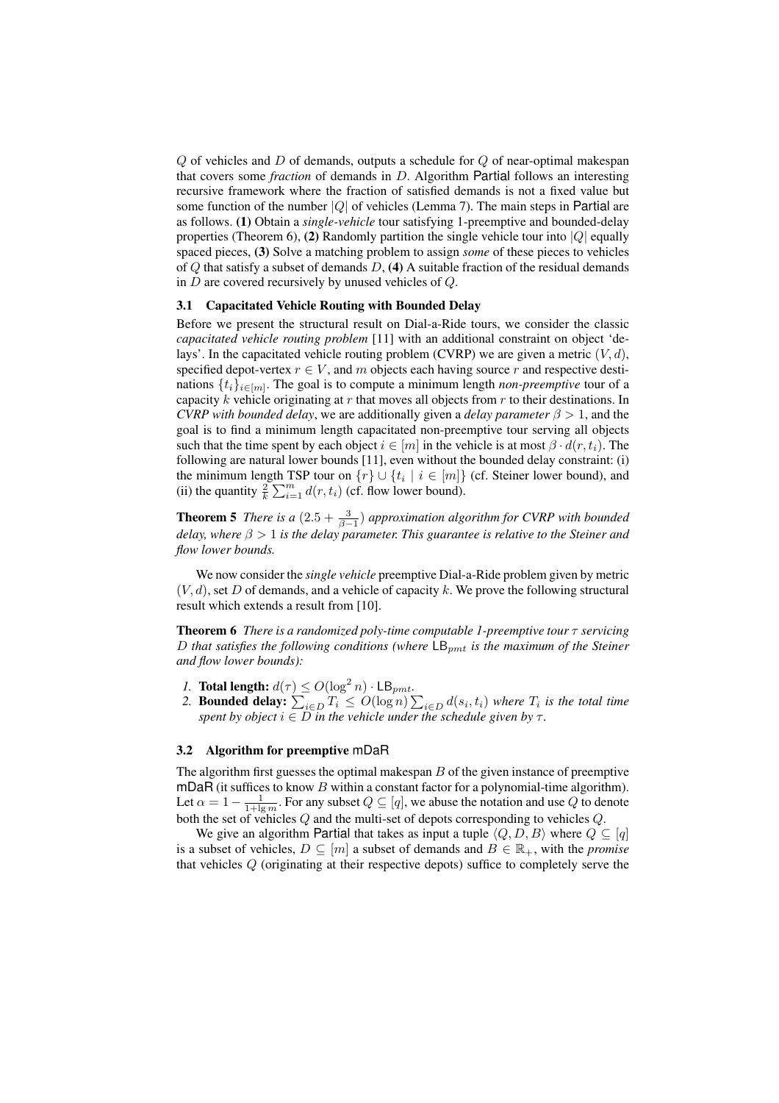$Q$  of vehicles and  $D$  of demands, outputs a schedule for  $Q$  of near-optimal makespan that covers some *fraction* of demands in D. Algorithm Partial follows an interesting recursive framework where the fraction of satisfied demands is not a fixed value but some function of the number  $|Q|$  of vehicles (Lemma 7). The main steps in Partial are as follows. (1) Obtain a *single-vehicle* tour satisfying 1-preemptive and bounded-delay properties (Theorem 6), (2) Randomly partition the single vehicle tour into  $|Q|$  equally spaced pieces, (3) Solve a matching problem to assign *some* of these pieces to vehicles of  $Q$  that satisfy a subset of demands  $D$ , (4) A suitable fraction of the residual demands in  $D$  are covered recursively by unused vehicles of  $Q$ .

#### 3.1 Capacitated Vehicle Routing with Bounded Delay

Before we present the structural result on Dial-a-Ride tours, we consider the classic *capacitated vehicle routing problem* [11] with an additional constraint on object 'delays'. In the capacitated vehicle routing problem (CVRP) we are given a metric  $(V, d)$ , specified depot-vertex  $r \in V$ , and m objects each having source r and respective destinations  $\{t_i\}_{i\in[m]}$ . The goal is to compute a minimum length *non-preemptive* tour of a capacity k vehicle originating at r that moves all objects from  $r$  to their destinations. In *CVRP with bounded delay*, we are additionally given a *delay parameter*  $\beta > 1$ , and the goal is to find a minimum length capacitated non-preemptive tour serving all objects such that the time spent by each object  $i \in [m]$  in the vehicle is at most  $\beta \cdot d(r, t_i)$ . The following are natural lower bounds [11], even without the bounded delay constraint: (i) the minimum length TSP tour on  $\{r\} \cup \{t_i \mid i \in [m]\}$  (cf. Steiner lower bound), and<br>(ii) the quantity  $2 \sum_{i=1}^{m} d(x_i)$  (of flow layer bound) (ii) the quantity  $\frac{2}{k} \sum_{i=1}^{m} d(r, t_i)$  (cf. flow lower bound).

**Theorem 5** *There is a*  $(2.5 + \frac{3}{\beta-1})$  *approximation algorithm for CVRP with bounded delay, where* β > 1 *is the delay parameter. This guarantee is relative to the Steiner and flow lower bounds.*

We now consider the *single vehicle* preemptive Dial-a-Ride problem given by metric  $(V, d)$ , set D of demands, and a vehicle of capacity k. We prove the following structural result which extends a result from [10].

Theorem 6 *There is a randomized poly-time computable 1-preemptive tour* τ *servicing* D *that satisfies the following conditions* (where  $\text{LB}_{pmt}$  *is the maximum of the Steiner and flow lower bounds):*

- *1*. **Total length:**  $d(\tau) \leq O(\log^2 n) \cdot \text{LB}_{pmt}$ .
- *2.* Bounded delay:  $\sum_{i \in D} T_i \le O(\log n) \sum_{i \in D} d(s_i, t_i)$  where  $T_i$  is the total time *spent by object*  $i \in D$  *in the vehicle under the schedule given by*  $\tau$ *.*

#### 3.2 Algorithm for preemptive mDaR

The algorithm first guesses the optimal makespan  $B$  of the given instance of preemptive  $mDaR$  (it suffices to know  $B$  within a constant factor for a polynomial-time algorithm). Let  $\alpha = 1 - \frac{1}{1 + \lg m}$ . For any subset  $Q \subseteq [q]$ , we abuse the notation and use Q to denote both the set of vehicles Q and the multi-set of depots corresponding to vehicles Q.

We give an algorithm Partial that takes as input a tuple  $\langle Q, D, B \rangle$  where  $Q \subseteq [q]$ is a subset of vehicles,  $D \subseteq [m]$  a subset of demands and  $B \in \mathbb{R}_+$ , with the *promise* that vehicles Q (originating at their respective depots) suffice to completely serve the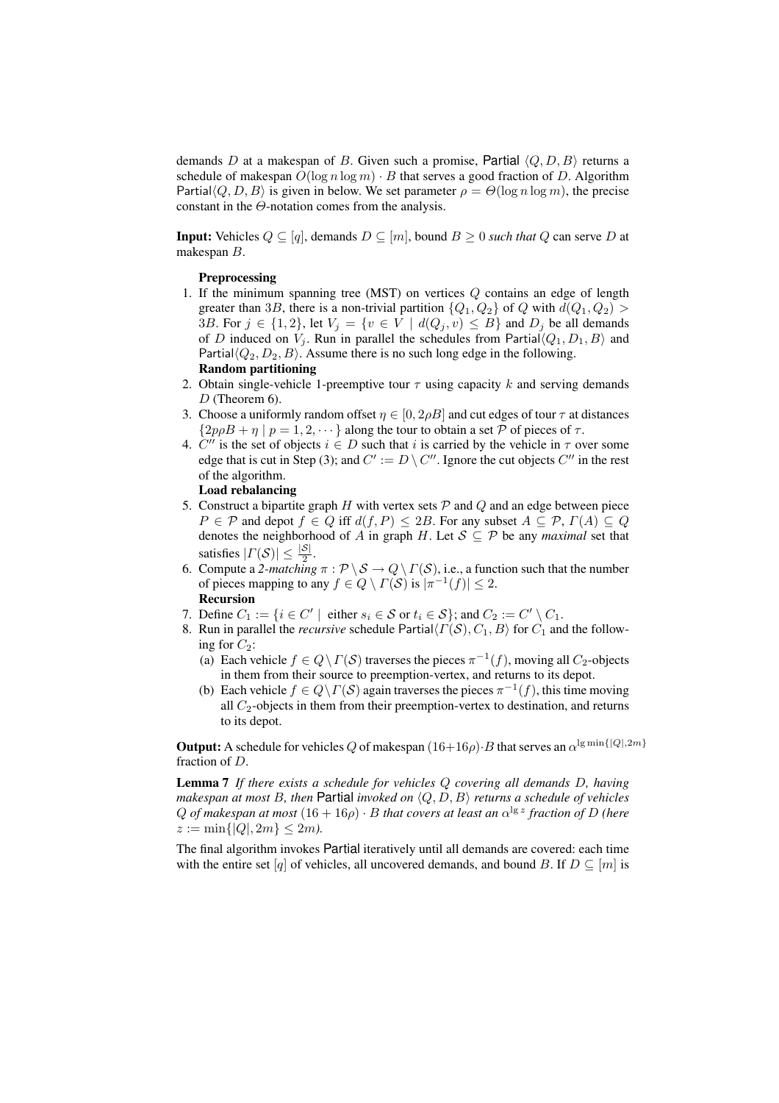demands D at a makespan of B. Given such a promise, Partial  $\langle Q, D, B \rangle$  returns a schedule of makespan  $O(\log n \log m) \cdot B$  that serves a good fraction of D. Algorithm Partial $\langle Q, D, B \rangle$  is given in below. We set parameter  $\rho = \Theta(\log n \log m)$ , the precise constant in the  $\Theta$ -notation comes from the analysis.

**Input:** Vehicles  $Q \subseteq [q]$ , demands  $D \subseteq [m]$ , bound  $B \ge 0$  *such that* Q can serve D at makespan B.

### Preprocessing

- 1. If the minimum spanning tree (MST) on vertices Q contains an edge of length greater than 3B, there is a non-trivial partition  $\{Q_1, Q_2\}$  of Q with  $d(Q_1, Q_2)$ 3B. For  $j \in \{1,2\}$ , let  $V_j = \{v \in V \mid d(Q_j, v) \leq B\}$  and  $D_j$  be all demands of D induced on  $V_i$ . Run in parallel the schedules from Partial $\langle Q_1, D_1, B \rangle$  and Partial $\langle Q_2, D_2, B \rangle$ . Assume there is no such long edge in the following. Random partitioning
- 2. Obtain single-vehicle 1-preemptive tour  $\tau$  using capacity k and serving demands D (Theorem 6).
- 3. Choose a uniformly random offset  $\eta \in [0, 2\rho B]$  and cut edges of tour  $\tau$  at distances  ${2p\rho B + n | p = 1, 2, \dots}$  along the tour to obtain a set P of pieces of  $\tau$ .
- 4.  $C''$  is the set of objects  $i \in D$  such that i is carried by the vehicle in  $\tau$  over some edge that is cut in Step (3); and  $C' := D \setminus C''$ . Ignore the cut objects  $C''$  in the rest of the algorithm.

# Load rebalancing

- 5. Construct a bipartite graph H with vertex sets  $P$  and  $Q$  and an edge between piece  $P \in \mathcal{P}$  and depot  $f \in Q$  iff  $d(f, P) \leq 2B$ . For any subset  $A \subseteq \mathcal{P}$ ,  $\Gamma(A) \subseteq Q$ denotes the neighborhood of A in graph H. Let  $S \subseteq \mathcal{P}$  be any *maximal* set that satisfies  $|\Gamma(\mathcal{S})| \leq \frac{|\mathcal{S}|}{2}$ .
- 6. Compute a 2-matching  $\pi$ :  $\mathcal{P} \setminus \mathcal{S} \to Q \setminus \Gamma(\mathcal{S})$ , i.e., a function such that the number of pieces mapping to any  $f \in Q \setminus \Gamma(S)$  is  $|\pi^{-1}(f)| \leq 2$ . Recursion
- 7. Define  $C_1 := \{i \in C' \mid \text{ either } s_i \in S \text{ or } t_i \in S\}$ ; and  $C_2 := C' \setminus C_1$ .
- 8. Run in parallel the *recursive* schedule Partial $\langle \Gamma(S), C_1, B \rangle$  for  $C_1$  and the following for  $C_2$ :
	- (a) Each vehicle  $f \in Q \setminus \Gamma(S)$  traverses the pieces  $\pi^{-1}(f)$ , moving all  $C_2$ -objects in them from their source to preemption-vertex, and returns to its depot.
	- (b) Each vehicle  $f \in Q \backslash \Gamma(\mathcal{S})$  again traverses the pieces  $\pi^{-1}(f)$ , this time moving all  $C_2$ -objects in them from their preemption-vertex to destination, and returns to its depot.

**Output:** A schedule for vehicles Q of makespan  $(16+16\rho) \cdot B$  that serves an  $\alpha^{\lg \min\{|Q|,2m\}}$ fraction of D.

Lemma 7 *If there exists a schedule for vehicles* Q *covering all demands* D*, having makespan at most* B, then Partial *invoked on*  $\langle Q, D, B \rangle$  *returns a schedule of vehicles*  $Q$  of makespan at most  $(16 + 16\rho) \cdot B$  that covers at least an  $\alpha^{\lg z}$  fraction of  $D$  (here  $z := \min\{|Q|, 2m\} \leq 2m$ .

The final algorithm invokes Partial iteratively until all demands are covered: each time with the entire set [q] of vehicles, all uncovered demands, and bound B. If  $D \subseteq [m]$  is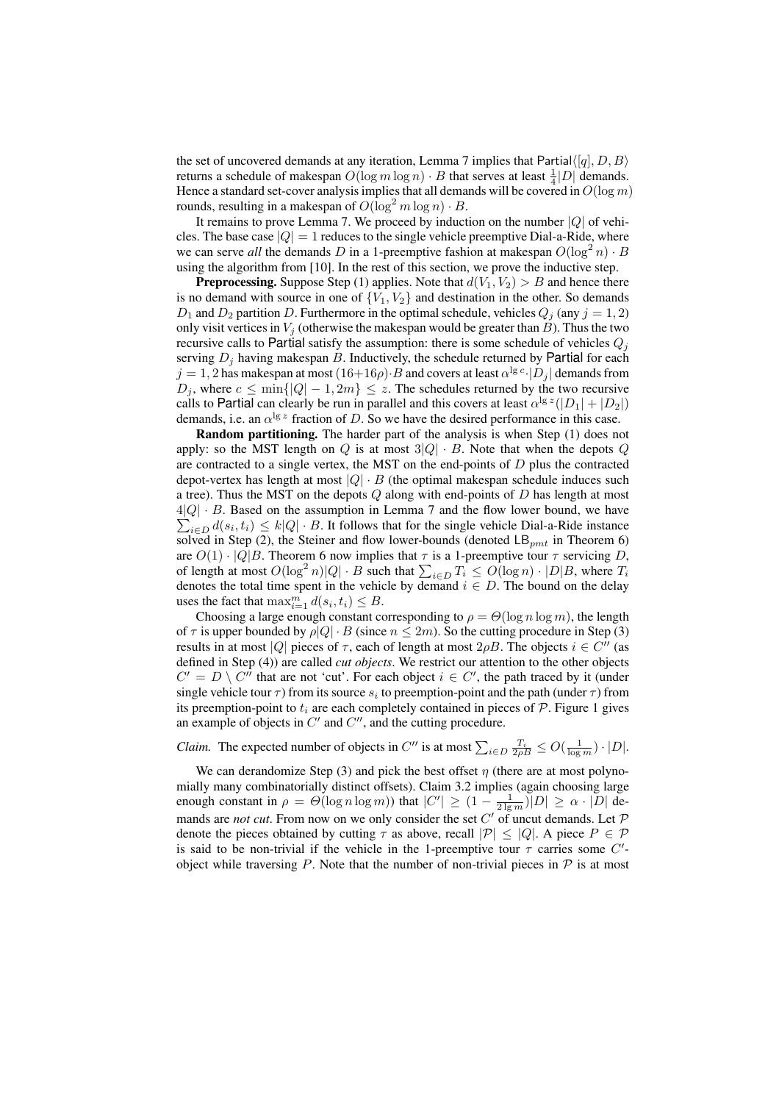the set of uncovered demands at any iteration, Lemma 7 implies that Partial $\langle [q], D, B \rangle$ returns a schedule of makespan  $O(\log m \log n) \cdot B$  that serves at least  $\frac{1}{4}|D|$  demands. Hence a standard set-cover analysis implies that all demands will be covered in  $O(\log m)$ rounds, resulting in a makespan of  $O(\log^2 m \log n) \cdot B$ .

It remains to prove Lemma 7. We proceed by induction on the number  $|Q|$  of vehicles. The base case  $|Q| = 1$  reduces to the single vehicle preemptive Dial-a-Ride, where we can serve *all* the demands D in a 1-preemptive fashion at makespan  $O(\log^2 n) \cdot B$ using the algorithm from [10]. In the rest of this section, we prove the inductive step.

**Preprocessing.** Suppose Step (1) applies. Note that  $d(V_1, V_2) > B$  and hence there is no demand with source in one of  ${V_1, V_2}$  and destination in the other. So demands  $D_1$  and  $D_2$  partition D. Furthermore in the optimal schedule, vehicles  $Q_i$  (any  $j = 1, 2$ ) only visit vertices in  $V_i$  (otherwise the makespan would be greater than  $B$ ). Thus the two recursive calls to Partial satisfy the assumption: there is some schedule of vehicles  $Q_i$ serving  $D_i$  having makespan B. Inductively, the schedule returned by Partial for each  $j=1,2$  has makespan at most  $(16+16\rho)\cdot B$  and covers at least  $\alpha^{\lg c}\cdot |D_j|$  demands from  $D_j$ , where  $c \le \min\{|Q| - 1, 2m\} \le z$ . The schedules returned by the two recursive calls to Partial can clearly be run in parallel and this covers at least  $\alpha^{\lg z}(|D_1| + |D_2|)$ demands, i.e. an  $\alpha^{\lg z}$  fraction of D. So we have the desired performance in this case.

Random partitioning. The harder part of the analysis is when Step (1) does not apply: so the MST length on  $Q$  is at most  $3|Q| \cdot B$ . Note that when the depots  $Q$ are contracted to a single vertex, the MST on the end-points of  $D$  plus the contracted depot-vertex has length at most  $|Q| \cdot B$  (the optimal makespan schedule induces such a tree). Thus the MST on the depots  $Q$  along with end-points of  $D$  has length at most  $4|Q| \cdot B$ . Based on the assumption in Lemma 7 and the flow lower bound, we have  $i \in D$   $d(s_i, t_i) \leq k|Q| \cdot B$ . It follows that for the single vehicle Dial-a-Ride instance solved in Step (2), the Steiner and flow lower-bounds (denoted  $\text{LB}_{pmt}$  in Theorem 6) are  $O(1) \cdot |Q|B$ . Theorem 6 now implies that  $\tau$  is a 1-preemptive tour  $\tau$  servicing D, are  $O(1) \cdot |Q|B$ . Theorem 6 now implies that  $\tau$  is a 1-preemptive tour  $\tau$  servicing  $D$ ,<br>of length at most  $O(\log^2 n)|Q| \cdot B$  such that  $\sum_{i \in D} T_i \leq O(\log n) \cdot |D|B$ , where  $T_i$ denotes the total time spent in the vehicle by demand  $i \in D$ . The bound on the delay uses the fact that  $\max_{i=1}^m d(s_i, t_i) \leq B$ .

Choosing a large enough constant corresponding to  $\rho = \Theta(\log n \log m)$ , the length of  $\tau$  is upper bounded by  $\rho |Q| \cdot B$  (since  $n \leq 2m$ ). So the cutting procedure in Step (3) results in at most |Q| pieces of  $\tau$ , each of length at most  $2\rho B$ . The objects  $i \in C''$  (as defined in Step (4)) are called *cut objects*. We restrict our attention to the other objects  $C' = D \setminus C''$  that are not 'cut'. For each object  $i \in C'$ , the path traced by it (under single vehicle tour  $\tau$ ) from its source  $s_i$  to preemption-point and the path (under  $\tau$ ) from its preemption-point to  $t_i$  are each completely contained in pieces of  $P$ . Figure 1 gives an example of objects in  $C'$  and  $C''$ , and the cutting procedure.

# *Claim.* The expected number of objects in C'' is at most  $\sum_{i \in D} \frac{T_i}{2\rho B} \le O(\frac{1}{\log m}) \cdot |D|$ .

We can derandomize Step (3) and pick the best offset  $\eta$  (there are at most polynomially many combinatorially distinct offsets). Claim 3.2 implies (again choosing large enough constant in  $\rho = \Theta(\log n \log m)$ ) that  $|C'| \geq (1 - \frac{1}{2 \log m})|D| \geq \alpha \cdot |D|$  demands are *not cut*. From now on we only consider the set  $C'$  of uncut demands. Let  $P$ denote the pieces obtained by cutting  $\tau$  as above, recall  $|\mathcal{P}| \leq |Q|$ . A piece  $P \in \mathcal{P}$ is said to be non-trivial if the vehicle in the 1-preemptive tour  $\tau$  carries some C'object while traversing P. Note that the number of non-trivial pieces in  $\mathcal P$  is at most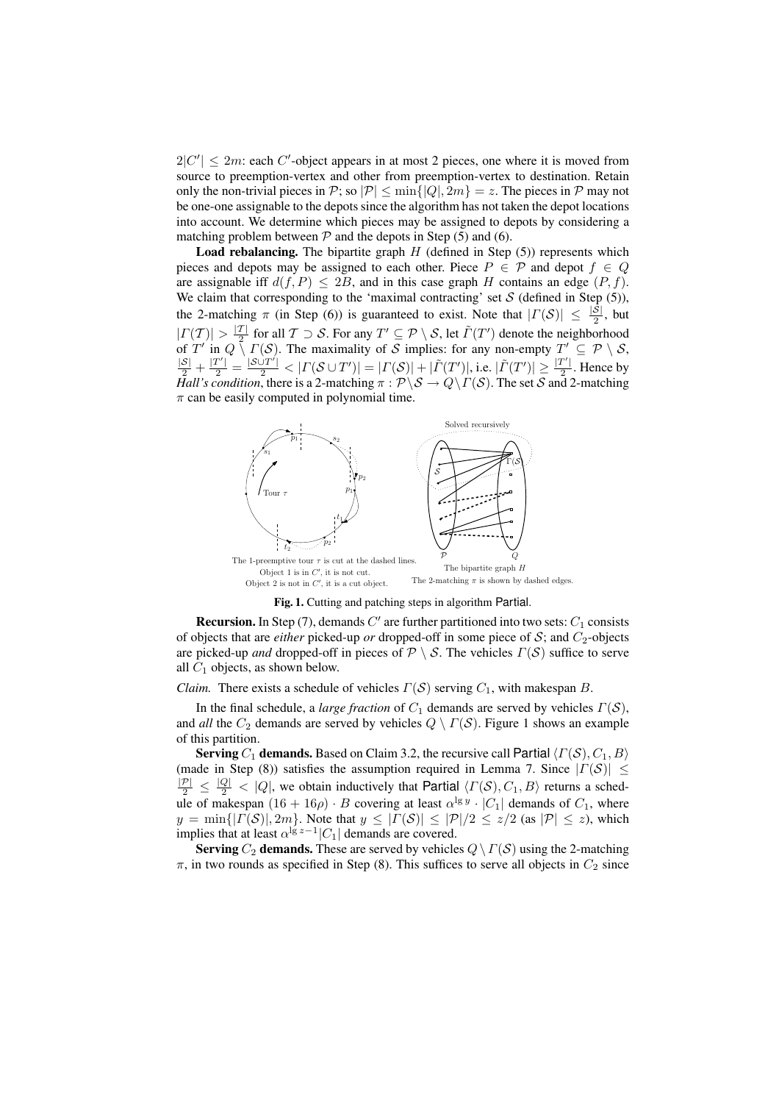$2|C'| \leq 2m$ : each C'-object appears in at most 2 pieces, one where it is moved from source to preemption-vertex and other from preemption-vertex to destination. Retain only the non-trivial pieces in P; so  $|\mathcal{P}| \le \min\{|Q|, 2m\} = z$ . The pieces in P may not be one-one assignable to the depots since the algorithm has not taken the depot locations into account. We determine which pieces may be assigned to depots by considering a matching problem between  $P$  and the depots in Step (5) and (6).

**Load rebalancing.** The bipartite graph  $H$  (defined in Step  $(5)$ ) represents which pieces and depots may be assigned to each other. Piece  $P \in \mathcal{P}$  and depot  $f \in Q$ are assignable iff  $d(f, P) \leq 2B$ , and in this case graph H contains an edge  $(P, f)$ . We claim that corresponding to the 'maximal contracting' set  $S$  (defined in Step (5)), the 2-matching  $\pi$  (in Step (6)) is guaranteed to exist. Note that  $|\Gamma(S)| \leq \frac{|S|}{2}$ , but 2  $|\Gamma(T)| > \frac{|\mathcal{T}|}{2}$  $\frac{T}{2}$  for all  $T \supset S$ . For any  $T' \subseteq \mathcal{P} \setminus \mathcal{S}$ , let  $\tilde{\Gamma}(T')$  denote the neighborhood of T' in  $Q \setminus \Gamma(\mathcal{S})$ . The maximality of S implies: for any non-empty  $T' \subseteq \mathcal{P} \setminus \mathcal{S}$ ,  $\frac{|\mathcal{S}|}{2}+\frac{|T'|}{2}=\frac{|\mathcal{S}\cup T'|}{2}<| \mathit{\Gamma}(\mathcal{S}\cup T')|=|\mathit{\Gamma}(\mathcal{S})|+|\tilde{\mathit{\Gamma}}(T')|,$  i.e.  $|\tilde{\mathit{\Gamma}}(T')|\geq \frac{|T'|}{2}$  $\frac{l}{2}$ . Hence by *Hall's condition*, there is a 2-matching  $\pi$ :  $\mathcal{P} \backslash \mathcal{S} \to Q \backslash \Gamma(\mathcal{S})$ . The set S and 2-matching  $\pi$  can be easily computed in polynomial time.



Fig. 1. Cutting and patching steps in algorithm Partial.

**Recursion.** In Step (7), demands  $C'$  are further partitioned into two sets:  $C_1$  consists of objects that are *either* picked-up *or* dropped-off in some piece of  $S$ ; and  $C_2$ -objects are picked-up *and* dropped-off in pieces of  $P \setminus S$ . The vehicles  $\Gamma(S)$  suffice to serve all  $C_1$  objects, as shown below.

*Claim.* There exists a schedule of vehicles  $\Gamma(S)$  serving  $C_1$ , with makespan B.

In the final schedule, a *large fraction* of  $C_1$  demands are served by vehicles  $\Gamma(\mathcal{S})$ , and *all* the  $C_2$  demands are served by vehicles  $Q \setminus \Gamma(S)$ . Figure 1 shows an example of this partition.

**Serving**  $C_1$  **demands.** Based on Claim 3.2, the recursive call Partial  $\langle \Gamma(S), C_1, B \rangle$ (made in Step (8)) satisfies the assumption required in Lemma 7. Since  $|\Gamma(S)| \le$  $\frac{|\mathcal{P}|}{2} \leq \frac{|Q|}{2} < |Q|$ , we obtain inductively that Partial  $\langle \Gamma(\mathcal{S}), C_1, B \rangle$  returns a schedule of makespan  $(16 + 16\rho) \cdot B$  covering at least  $\alpha^{\lg y} \cdot |C_1|$  demands of  $C_1$ , where  $y = \min\{| \Gamma(\mathcal{S})|, 2m\}$ . Note that  $y \leq |\Gamma(\mathcal{S})| \leq |\mathcal{P}|/2 \leq z/2$  (as  $|\mathcal{P}| \leq z$ ), which implies that at least  $\alpha^{\lg z-1}$  |  $C_1$ | demands are covered.

**Serving**  $C_2$  **demands.** These are served by vehicles  $Q \setminus \Gamma(S)$  using the 2-matching  $\pi$ , in two rounds as specified in Step (8). This suffices to serve all objects in  $C_2$  since